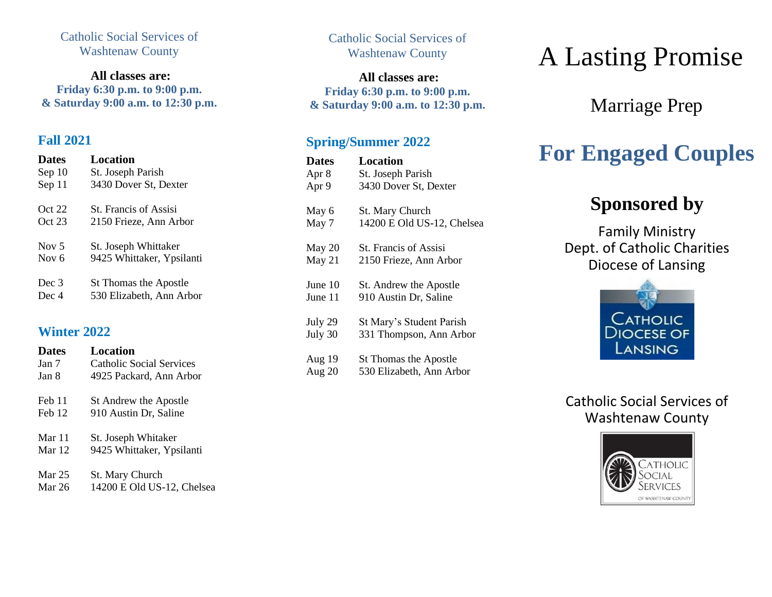### Catholic Social Services of Washtenaw County

**All classes are: Friday 6:30 p.m. to 9:00 p.m. & Saturday 9:00 a.m. to 12:30 p.m.**

### **Fall 2021**

**Dates Location**

| <i>iales</i> | посаноп                   |
|--------------|---------------------------|
| Sep 10       | St. Joseph Parish         |
| Sep 11       | 3430 Dover St, Dexter     |
| Oct 22       | St. Francis of Assisi     |
| Oct 23       | 2150 Frieze, Ann Arbor    |
| Nov $5$      | St. Joseph Whittaker      |
| Nov $6$      | 9425 Whittaker, Ypsilanti |
| Dec 3        | St Thomas the Apostle     |
| Dec 4        | 530 Elizabeth, Ann Arbor  |

### **Winter 2022**

| <b>Dates</b> | Location                  |
|--------------|---------------------------|
| Jan 7        | Catholic Social Services  |
| Jan 8        | 4925 Packard, Ann Arbor   |
| Feb 11       | St Andrew the Apostle     |
| Feb 12       | 910 Austin Dr, Saline     |
| Mar 11       | St. Joseph Whitaker       |
| Mar $12$     | 9425 Whittaker, Ypsilanti |
| Mar $25$     | <b>St. Mary Church</b>    |

Mar 26 14200 E Old US-12, Chelsea

Catholic Social Services of Washtenaw County

**All classes are: Friday 6:30 p.m. to 9:00 p.m. & Saturday 9:00 a.m. to 12:30 p.m.**

### **Spring/Summer 2022**

| <b>Dates</b> | Location                     |
|--------------|------------------------------|
| Apr 8        | St. Joseph Parish            |
| Apr 9        | 3430 Dover St, Dexter        |
| May 6        | St. Mary Church              |
| May 7        | 14200 E Old US-12, Chelsea   |
| May 20       | <b>St. Francis of Assisi</b> |
| May 21       | 2150 Frieze, Ann Arbor       |
| June 10      | St. Andrew the Apostle       |
| June 11      | 910 Austin Dr, Saline        |
| July 29      | St Mary's Student Parish     |
| July 30      | 331 Thompson, Ann Arbor      |
| Aug 19       | St Thomas the Apostle        |
| Aug $20$     | 530 Elizabeth, Ann Arbor     |
|              |                              |

# A Lasting Promise

Marriage Prep

## **For Engaged Couples**

### **Sponsored by**

Family Ministry Dept. of Catholic Charities Diocese of Lansing



### Catholic Social Services of Washtenaw County